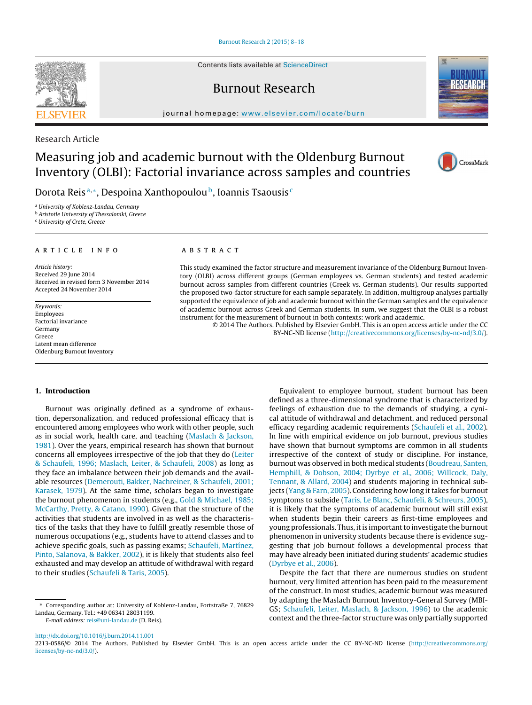Contents lists available at [ScienceDirect](http://www.sciencedirect.com/science/journal/aip/22130586)

### Burnout Research

iournal homepage: [www.elsevier.com/locate/burn](http://www.elsevier.com/locate/burn)

Research Article

## Measuring job and academic burnout with the Oldenburg Burnout Inventory (OLBI): Factorial invariance across samples and countries

Dorota Reis<sup>a,∗</sup>, Despoina Xanthopoulou<sup>b</sup>, Ioannis Tsaousis<sup>c</sup>

<sup>a</sup> University of Koblenz-Landau, Germany

**b** Aristotle University of Thessaloniki, Greece

<sup>c</sup> University of Crete, Greece

#### A R T I C L E I N F O

Article history: Received 29 June 2014 Received in revised form 3 November 2014 Accepted 24 November 2014

Keywords: Employees Factorial invariance Germany Greece Latent mean difference Oldenburg Burnout Inventory

#### A B S T R A C T

This study examined the factor structure and measurement invariance of the Oldenburg Burnout Inventory (OLBI) across different groups (German employees vs. German students) and tested academic burnout across samples from different countries (Greek vs. German students). Our results supported the proposed two-factor structure for each sample separately. In addition, multigroup analyses partially supported the equivalence of job and academic burnout within the German samples and the equivalence of academic burnout across Greek and German students. In sum, we suggest that the OLBI is a robust instrument for the measurement of burnout in both contexts: work and academic.

© 2014 The Authors. Published by Elsevier GmbH. This is an open access article under the CC BY-NC-ND license [\(http://creativecommons.org/licenses/by-nc-nd/3.0/](http://creativecommons.org/licenses/by-nc-nd/3.0/)).

#### **1. Introduction**

Burnout was originally defined as a syndrome of exhaustion, depersonalization, and reduced professional efficacy that is encountered among employees who work with other people, such as in social work, health care, and teaching ([Maslach](#page--1-0) [&](#page--1-0) [Jackson,](#page--1-0) [1981\).](#page--1-0) Over the years, empirical research has shown that burnout concerns all employees irrespective of the job that they do ([Leiter](#page--1-0) [&](#page--1-0) [Schaufeli,](#page--1-0) [1996;](#page--1-0) [Maslach,](#page--1-0) [Leiter,](#page--1-0) [&](#page--1-0) [Schaufeli,](#page--1-0) [2008\)](#page--1-0) as long as they face an imbalance between their job demands and the available resources [\(Demerouti,](#page--1-0) [Bakker,](#page--1-0) [Nachreiner,](#page--1-0) [&](#page--1-0) [Schaufeli,](#page--1-0) [2001;](#page--1-0) [Karasek,](#page--1-0) [1979\).](#page--1-0) At the same time, scholars began to investigate the burnout phenomenon in students (e.g., [Gold](#page--1-0) [&](#page--1-0) [Michael,](#page--1-0) [1985;](#page--1-0) [McCarthy,](#page--1-0) [Pretty,](#page--1-0) [&](#page--1-0) [Catano,](#page--1-0) [1990\).](#page--1-0) Given that the structure of the activities that students are involved in as well as the characteristics of the tasks that they have to fulfill greatly resemble those of numerous occupations (e.g., students have to attend classes and to achieve specific goals, such as passing exams; [Schaufeli,](#page--1-0) [Martínez,](#page--1-0) [Pinto,](#page--1-0) [Salanova,](#page--1-0) [&](#page--1-0) [Bakker,](#page--1-0) [2002\),](#page--1-0) it is likely that students also feel exhausted and may develop an attitude of withdrawal with regard to their studies ([Schaufeli](#page--1-0) [&](#page--1-0) [Taris,](#page--1-0) [2005\).](#page--1-0)

∗ Corresponding author at: University of Koblenz-Landau, Fortstraße 7, 76829 Landau, Germany. Tel.: +49 06341 28031199.

E-mail address: [reis@uni-landau.de](mailto:reis@uni-landau.de) (D. Reis).

defined as a three-dimensional syndrome that is characterized by feelings of exhaustion due to the demands of studying, a cynical attitude of withdrawal and detachment, and reduced personal efficacy regarding academic requirements [\(Schaufeli](#page--1-0) et [al.,](#page--1-0) [2002\).](#page--1-0) In line with empirical evidence on job burnout, previous studies have shown that burnout symptoms are common in all students irrespective of the context of study or discipline. For instance, burnout was observed in both medical students ([Boudreau,](#page--1-0) [Santen,](#page--1-0) [Hemphill,](#page--1-0) [&](#page--1-0) [Dobson,](#page--1-0) [2004;](#page--1-0) [Dyrbye](#page--1-0) et [al.,](#page--1-0) [2006;](#page--1-0) [Willcock,](#page--1-0) [Daly,](#page--1-0) [Tennant,](#page--1-0) [&](#page--1-0) [Allard,](#page--1-0) [2004\)](#page--1-0) and students majoring in technical sub-jects ([Yang](#page--1-0) [&](#page--1-0) [Farn,](#page--1-0) [2005\).](#page--1-0) Considering how long it takes for burnout symptoms to subside [\(Taris,](#page--1-0) [Le](#page--1-0) [Blanc,](#page--1-0) [Schaufeli,](#page--1-0) [&](#page--1-0) [Schreurs,](#page--1-0) [2005\),](#page--1-0) it is likely that the symptoms of academic burnout will still exist when students begin their careers as first-time employees and young professionals. Thus, it is important to investigate the burnout phenomenon in university students because there is evidence suggesting that job burnout follows a developmental process that may have already been initiated during students' academic studies [\(Dyrbye](#page--1-0) et [al.,](#page--1-0) [2006\).](#page--1-0)

Equivalent to employee burnout, student burnout has been

Despite the fact that there are numerous studies on student burnout, very limited attention has been paid to the measurement of the construct. In most studies, academic burnout was measured by adapting the Maslach Burnout Inventory-General Survey (MBI-GS; [Schaufeli,](#page--1-0) [Leiter,](#page--1-0) [Maslach,](#page--1-0) [&](#page--1-0) [Jackson,](#page--1-0) [1996\)](#page--1-0) to the academic context and the three-factor structure was only partially supported





CrossMark

<sup>2213-0586/© 2014</sup> The Authors. Published by Elsevier GmbH. This is an open access article under the CC BY-NC-ND license ([http://creativecommons.org/](http://creativecommons.org/licenses/by-nc-nd/3.0/) [licenses/by-nc-nd/3.0/](http://creativecommons.org/licenses/by-nc-nd/3.0/)).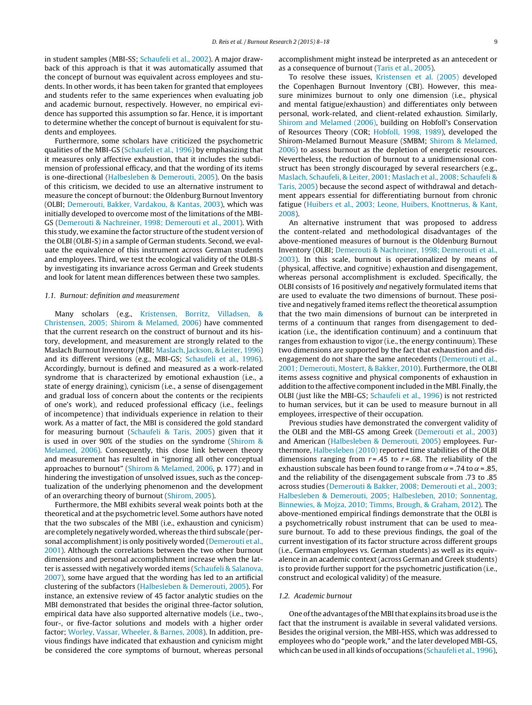in student samples (MBI-SS; [Schaufeli](#page--1-0) et [al.,](#page--1-0) [2002\).](#page--1-0) A major drawback of this approach is that it was automatically assumed that the concept of burnout was equivalent across employees and students. In other words, it has been taken for granted that employees and students refer to the same experiences when evaluating job and academic burnout, respectively. However, no empirical evidence has supported this assumption so far. Hence, it is important to determine whether the concept of burnout is equivalent for students and employees.

Furthermore, some scholars have criticized the psychometric qualities of the MBI-GS ([Schaufeli](#page--1-0) et [al.,](#page--1-0) [1996\)](#page--1-0) by emphasizing that it measures only affective exhaustion, that it includes the subdimension of professional efficacy, and that the wording of its items is one-directional [\(Halbesleben](#page--1-0) [&](#page--1-0) [Demerouti,](#page--1-0) [2005\).](#page--1-0) On the basis of this criticism, we decided to use an alternative instrument to measure the concept of burnout: the Oldenburg Burnout Inventory (OLBI; [Demerouti,](#page--1-0) [Bakker,](#page--1-0) [Vardakou,](#page--1-0) [&](#page--1-0) [Kantas,](#page--1-0) [2003\),](#page--1-0) which was initially developed to overcome most of the limitations of the MBI-GS [\(Demerouti](#page--1-0) [&](#page--1-0) [Nachreiner,](#page--1-0) [1998;](#page--1-0) [Demerouti](#page--1-0) et [al.,](#page--1-0) [2001\).](#page--1-0) With this study, we examine the factor structure of the student version of the OLBI (OLBI-S) in a sample of German students. Second, we evaluate the equivalence of this instrument across German students and employees. Third, we test the ecological validity of the OLBI-S by investigating its invariance across German and Greek students and look for latent mean differences between these two samples.

#### 1.1. Burnout: definition and measurement

Many scholars (e.g., [Kristensen,](#page--1-0) [Borritz,](#page--1-0) [Villadsen,](#page--1-0) [&](#page--1-0) [Christensen,](#page--1-0) [2005;](#page--1-0) [Shirom](#page--1-0) [&](#page--1-0) [Melamed,](#page--1-0) [2006\)](#page--1-0) have commented that the current research on the construct of burnout and its history, development, and measurement are strongly related to the Maslach Burnout Inventory (MBI; [Maslach,](#page--1-0) [Jackson,](#page--1-0) [&](#page--1-0) [Leiter,](#page--1-0) [1996\)](#page--1-0) and its different versions (e.g., MBI-GS; [Schaufeli](#page--1-0) et [al.,](#page--1-0) [1996\).](#page--1-0) Accordingly, burnout is defined and measured as a work-related syndrome that is characterized by emotional exhaustion (i.e., a state of energy draining), cynicism (i.e., a sense of disengagement and gradual loss of concern about the contents or the recipients of one's work), and reduced professional efficacy (i.e., feelings of incompetence) that individuals experience in relation to their work. As a matter of fact, the MBI is considered the gold standard for measuring burnout ([Schaufeli](#page--1-0) [&](#page--1-0) [Taris,](#page--1-0) [2005\)](#page--1-0) given that it is used in over 90% of the studies on the syndrome [\(Shirom](#page--1-0) [&](#page--1-0) [Melamed,](#page--1-0) [2006\).](#page--1-0) Consequently, this close link between theory and measurement has resulted in "ignoring all other conceptual approaches to burnout" ([Shirom](#page--1-0) [&](#page--1-0) [Melamed,](#page--1-0) [2006,](#page--1-0) p. 177) and in hindering the investigation of unsolved issues, such as the conceptualization of the underlying phenomenon and the development of an overarching theory of burnout [\(Shirom,](#page--1-0) [2005\).](#page--1-0)

Furthermore, the MBI exhibits several weak points both at the theoretical and atthe psychometric level. Some authors have noted that the two subscales of the MBI (i.e., exhaustion and cynicism) are completely negatively worded, whereas the third subscale (personal accomplishment) is only positively worded ([Demerouti](#page--1-0) et [al.,](#page--1-0) [2001\).](#page--1-0) Although the correlations between the two other burnout dimensions and personal accomplishment increase when the latter is assessed with negatively worded items ([Schaufeli](#page--1-0) [&](#page--1-0) [Salanova,](#page--1-0) [2007\),](#page--1-0) some have argued that the wording has led to an artificial clustering of the subfactors ([Halbesleben](#page--1-0) [&](#page--1-0) [Demerouti,](#page--1-0) [2005\).](#page--1-0) For instance, an extensive review of 45 factor analytic studies on the MBI demonstrated that besides the original three-factor solution, empirical data have also supported alternative models (i.e., two-, four-, or five-factor solutions and models with a higher order factor; [Worley,](#page--1-0) [Vassar,](#page--1-0) [Wheeler,](#page--1-0) [&](#page--1-0) [Barnes,](#page--1-0) [2008\).](#page--1-0) In addition, previous findings have indicated that exhaustion and cynicism might be considered the core symptoms of burnout, whereas personal accomplishment might instead be interpreted as an antecedent or as a consequence of burnout ([Taris](#page--1-0) et [al.,](#page--1-0) [2005\).](#page--1-0)

To resolve these issues, [Kristensen](#page--1-0) et [al.](#page--1-0) [\(2005\)](#page--1-0) developed the Copenhagen Burnout Inventory (CBI). However, this measure minimizes burnout to only one dimension (i.e., physical and mental fatigue/exhaustion) and differentiates only between personal, work-related, and client-related exhaustion. Similarly, [Shirom](#page--1-0) [and](#page--1-0) [Melamed](#page--1-0) [\(2006\),](#page--1-0) building on Hobfoll's Conservation of Resources Theory (COR; [Hobfoll,](#page--1-0) [1998,](#page--1-0) [1989\),](#page--1-0) developed the Shirom-Melamed Burnout Measure (SMBM; [Shirom](#page--1-0) [&](#page--1-0) [Melamed,](#page--1-0) [2006\)](#page--1-0) to assess burnout as the depletion of energetic resources. Nevertheless, the reduction of burnout to a unidimensional construct has been strongly discouraged by several researchers (e.g., [Maslach,](#page--1-0) [Schaufeli,](#page--1-0) [&](#page--1-0) [Leiter,](#page--1-0) [2001;](#page--1-0) [Maslach](#page--1-0) et [al.,](#page--1-0) [2008;](#page--1-0) [Schaufeli](#page--1-0) [&](#page--1-0) [Taris,](#page--1-0) [2005\)](#page--1-0) because the second aspect of withdrawal and detachment appears essential for differentiating burnout from chronic fatigue ([Huibers](#page--1-0) et [al.,](#page--1-0) [2003;](#page--1-0) [Leone,](#page--1-0) [Huibers,](#page--1-0) [Knottnerus,](#page--1-0) [&](#page--1-0) [Kant,](#page--1-0) [2008\).](#page--1-0)

An alternative instrument that was proposed to address the content-related and methodological disadvantages of the above-mentioned measures of burnout is the Oldenburg Burnout Inventory (OLBI; [Demerouti](#page--1-0) [&](#page--1-0) [Nachreiner,](#page--1-0) [1998;](#page--1-0) [Demerouti](#page--1-0) et [al.,](#page--1-0) [2003\).](#page--1-0) In this scale, burnout is operationalized by means of (physical, affective, and cognitive) exhaustion and disengagement, whereas personal accomplishment is excluded. Specifically, the OLBI consists of 16 positively and negatively formulated items that are used to evaluate the two dimensions of burnout. These positive and negatively framed items reflect the theoretical assumption that the two main dimensions of burnout can be interpreted in terms of a continuum that ranges from disengagement to dedication (i.e., the identification continuum) and a continuum that ranges from exhaustion to vigor (i.e., the energy continuum). These two dimensions are supported by the fact that exhaustion and disengagement do not share the same antecedents [\(Demerouti](#page--1-0) et [al.,](#page--1-0) [2001;](#page--1-0) [Demerouti,](#page--1-0) [Mostert,](#page--1-0) [&](#page--1-0) [Bakker,](#page--1-0) [2010\).](#page--1-0) Furthermore, the OLBI items assess cognitive and physical components of exhaustion in addition to the affective component included in the MBI. Finally, the OLBI (just like the MBI-GS; [Schaufeli](#page--1-0) et [al.,](#page--1-0) [1996\)](#page--1-0) is not restricted to human services, but it can be used to measure burnout in all employees, irrespective of their occupation.

Previous studies have demonstrated the convergent validity of the OLBI and the MBI-GS among Greek ([Demerouti](#page--1-0) et [al.,](#page--1-0) [2003\)](#page--1-0) and American [\(Halbesleben](#page--1-0) [&](#page--1-0) [Demerouti,](#page--1-0) [2005\)](#page--1-0) employees. Furthermore, [Halbesleben](#page--1-0) [\(2010\)](#page--1-0) reported time stabilities of the OLBI dimensions ranging from  $r = .45$  to  $r = .68$ . The reliability of the exhaustion subscale has been found to range from  $\alpha$  = .74 to  $\alpha$  = .85, and the reliability of the disengagement subscale from .73 to .85 across studies ([Demerouti](#page--1-0) [&](#page--1-0) [Bakker,](#page--1-0) [2008;](#page--1-0) [Demerouti](#page--1-0) et [al.,](#page--1-0) [2003;](#page--1-0) [Halbesleben](#page--1-0) [&](#page--1-0) [Demerouti,](#page--1-0) [2005;](#page--1-0) [Halbesleben,](#page--1-0) [2010;](#page--1-0) [Sonnentag,](#page--1-0) [Binnewies,](#page--1-0) [&](#page--1-0) [Mojza,](#page--1-0) [2010;](#page--1-0) [Timms,](#page--1-0) [Brough,](#page--1-0) [&](#page--1-0) [Graham,](#page--1-0) [2012\).](#page--1-0) The above-mentioned empirical findings demonstrate that the OLBI is a psychometrically robust instrument that can be used to measure burnout. To add to these previous findings, the goal of the current investigation of its factor structure across different groups (i.e., German employees vs. German students) as well as its equivalence in an academic context (across German and Greek students) is to provide further support for the psychometric justification (i.e., construct and ecological validity) of the measure.

#### 1.2. Academic burnout

One of the advantages of the MBI that explains its broad use is the fact that the instrument is available in several validated versions. Besides the original version, the MBI-HSS, which was addressed to employees who do "people work," and the later developed MBI-GS, which can be used in all kinds of occupations ([Schaufeli](#page--1-0) et [al.,](#page--1-0) [1996\),](#page--1-0)